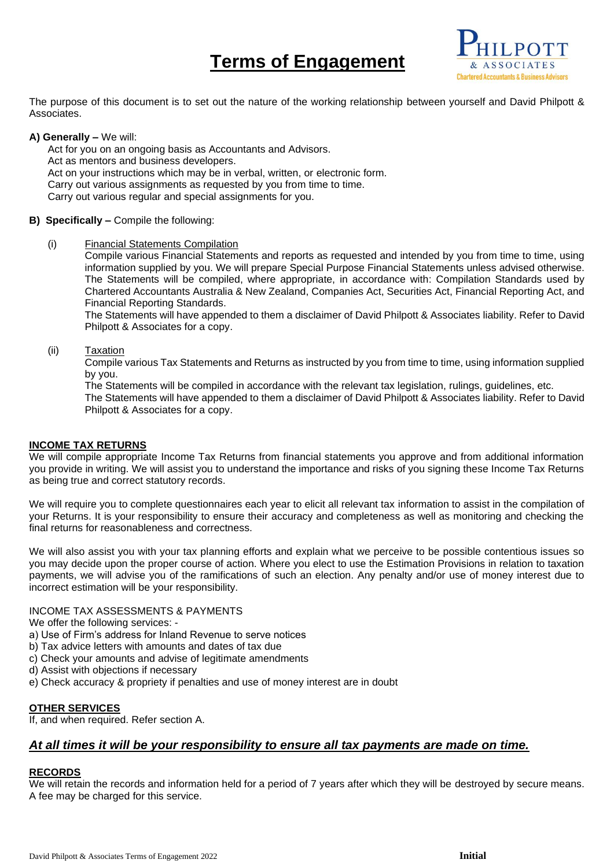# **Terms of Engagement**



The purpose of this document is to set out the nature of the working relationship between yourself and David Philpott & Associates.

## **A) Generally –** We will:

Act for you on an ongoing basis as Accountants and Advisors. Act as mentors and business developers. Act on your instructions which may be in verbal, written, or electronic form. Carry out various assignments as requested by you from time to time. Carry out various regular and special assignments for you.

## **B) Specifically –** Compile the following:

(i) Financial Statements Compilation

Compile various Financial Statements and reports as requested and intended by you from time to time, using information supplied by you. We will prepare Special Purpose Financial Statements unless advised otherwise. The Statements will be compiled, where appropriate, in accordance with: Compilation Standards used by Chartered Accountants Australia & New Zealand, Companies Act, Securities Act, Financial Reporting Act, and Financial Reporting Standards.

The Statements will have appended to them a disclaimer of David Philpott & Associates liability. Refer to David Philpott & Associates for a copy.

## (ii) Taxation

Compile various Tax Statements and Returns as instructed by you from time to time, using information supplied by you.

The Statements will be compiled in accordance with the relevant tax legislation, rulings, guidelines, etc.

The Statements will have appended to them a disclaimer of David Philpott & Associates liability. Refer to David Philpott & Associates for a copy.

## **INCOME TAX RETURNS**

We will compile appropriate Income Tax Returns from financial statements you approve and from additional information you provide in writing. We will assist you to understand the importance and risks of you signing these Income Tax Returns as being true and correct statutory records.

We will require you to complete questionnaires each year to elicit all relevant tax information to assist in the compilation of your Returns. It is your responsibility to ensure their accuracy and completeness as well as monitoring and checking the final returns for reasonableness and correctness.

We will also assist you with your tax planning efforts and explain what we perceive to be possible contentious issues so you may decide upon the proper course of action. Where you elect to use the Estimation Provisions in relation to taxation payments, we will advise you of the ramifications of such an election. Any penalty and/or use of money interest due to incorrect estimation will be your responsibility.

## INCOME TAX ASSESSMENTS & PAYMENTS

We offer the following services: -

- a) Use of Firm's address for Inland Revenue to serve notices
- b) Tax advice letters with amounts and dates of tax due
- c) Check your amounts and advise of legitimate amendments
- d) Assist with objections if necessary
- e) Check accuracy & propriety if penalties and use of money interest are in doubt

## **OTHER SERVICES**

If, and when required. Refer section A.

## *At all times it will be your responsibility to ensure all tax payments are made on time.*

## **RECORDS**

We will retain the records and information held for a period of 7 years after which they will be destroyed by secure means. A fee may be charged for this service.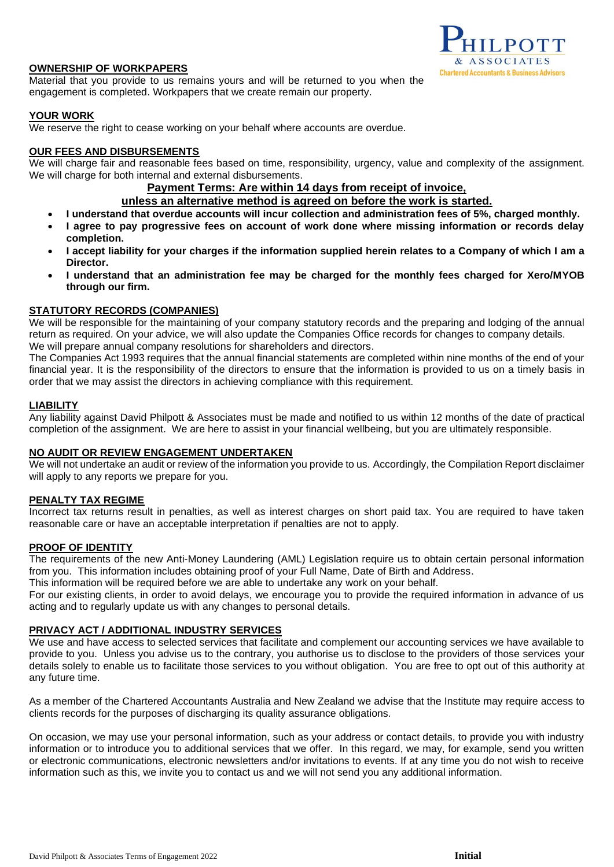## **OWNERSHIP OF WORKPAPERS**

Material that you provide to us remains yours and will be returned to you when the engagement is completed. Workpapers that we create remain our property.

## **YOUR WORK**

We reserve the right to cease working on your behalf where accounts are overdue.

## **OUR FEES AND DISBURSEMENTS**

We will charge fair and reasonable fees based on time, responsibility, urgency, value and complexity of the assignment. We will charge for both internal and external disbursements.

## **Payment Terms: Are within 14 days from receipt of invoice,**

**unless an alternative method is agreed on before the work is started.**

- **I understand that overdue accounts will incur collection and administration fees of 5%, charged monthly.**
- **I agree to pay progressive fees on account of work done where missing information or records delay completion.**
- **I accept liability for your charges if the information supplied herein relates to a Company of which I am a Director.**
- **I understand that an administration fee may be charged for the monthly fees charged for Xero/MYOB through our firm.**

## **STATUTORY RECORDS (COMPANIES)**

We will be responsible for the maintaining of your company statutory records and the preparing and lodging of the annual return as required. On your advice, we will also update the Companies Office records for changes to company details. We will prepare annual company resolutions for shareholders and directors.

The Companies Act 1993 requires that the annual financial statements are completed within nine months of the end of your financial year. It is the responsibility of the directors to ensure that the information is provided to us on a timely basis in order that we may assist the directors in achieving compliance with this requirement.

## **LIABILITY**

Any liability against David Philpott & Associates must be made and notified to us within 12 months of the date of practical completion of the assignment. We are here to assist in your financial wellbeing, but you are ultimately responsible.

## **NO AUDIT OR REVIEW ENGAGEMENT UNDERTAKEN**

We will not undertake an audit or review of the information you provide to us. Accordingly, the Compilation Report disclaimer will apply to any reports we prepare for you.

## **PENALTY TAX REGIME**

Incorrect tax returns result in penalties, as well as interest charges on short paid tax. You are required to have taken reasonable care or have an acceptable interpretation if penalties are not to apply.

## **PROOF OF IDENTITY**

The requirements of the new Anti-Money Laundering (AML) Legislation require us to obtain certain personal information from you. This information includes obtaining proof of your Full Name, Date of Birth and Address.

This information will be required before we are able to undertake any work on your behalf.

For our existing clients, in order to avoid delays, we encourage you to provide the required information in advance of us acting and to regularly update us with any changes to personal details.

## **PRIVACY ACT / ADDITIONAL INDUSTRY SERVICES**

We use and have access to selected services that facilitate and complement our accounting services we have available to provide to you. Unless you advise us to the contrary, you authorise us to disclose to the providers of those services your details solely to enable us to facilitate those services to you without obligation. You are free to opt out of this authority at any future time.

As a member of the Chartered Accountants Australia and New Zealand we advise that the Institute may require access to clients records for the purposes of discharging its quality assurance obligations.

On occasion, we may use your personal information, such as your address or contact details, to provide you with industry information or to introduce you to additional services that we offer. In this regard, we may, for example, send you written or electronic communications, electronic newsletters and/or invitations to events. If at any time you do not wish to receive information such as this, we invite you to contact us and we will not send you any additional information.